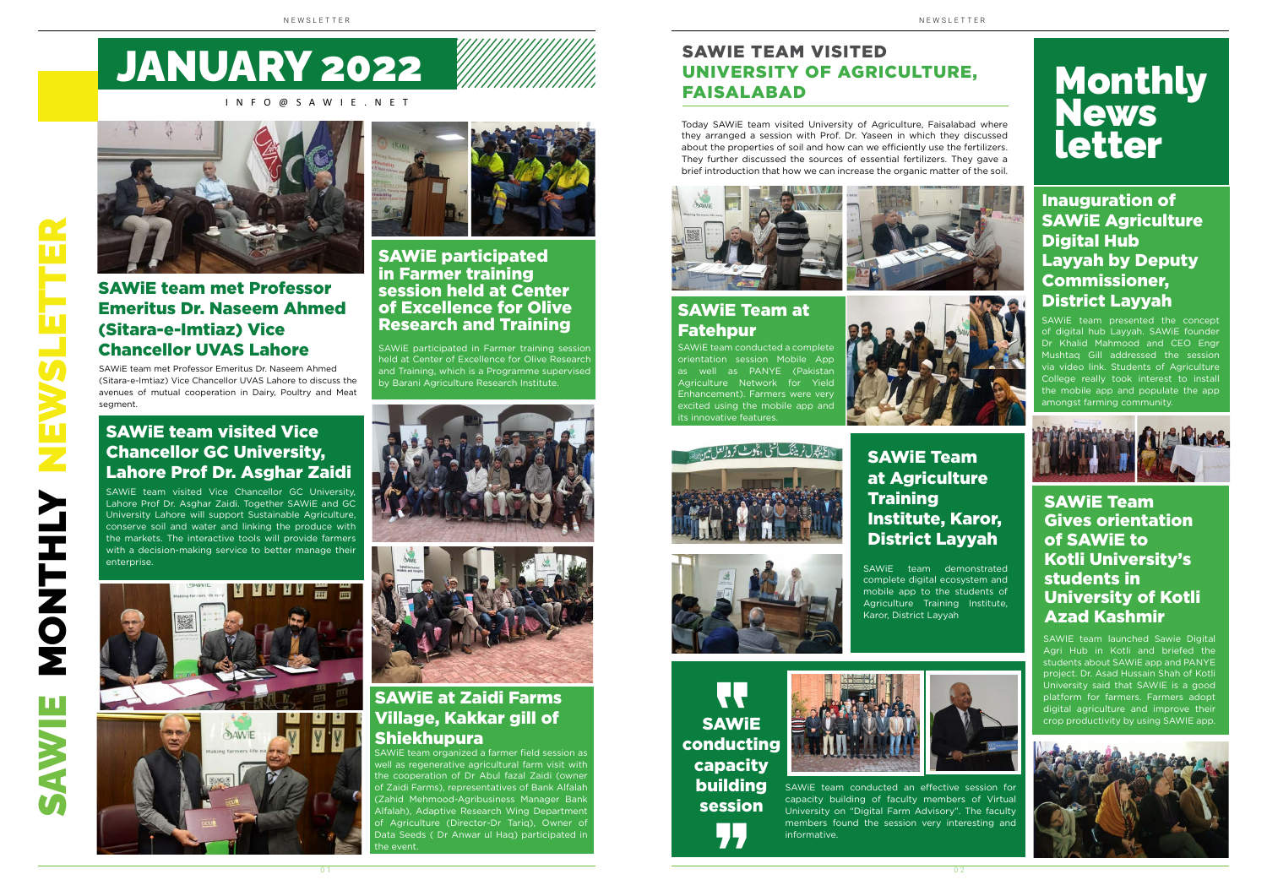SAWiE team met Professor Emeritus Dr. Naseem Ahmed (Sitara-e-Imtiaz) Vice Chancellor UVAS Lahore to discuss the avenues of mutual cooperation in Dairy, Poultry and Meat segment.

### SAWiE team met Professor Emeritus Dr. Naseem Ahmed (Sitara-e-Imtiaz) Vice Chancellor UVAS Lahore

SAWiE team conducted a complete orientation session Mobile App as well as PANYE (Pakistan Agriculture Network for Yield Enhancement). Farmers were very excited using the mobile app and ts innovative features.





SAWiE team visited Vice Chancellor GC University, Lahore Prof Dr. Asghar Zaidi. Together SAWiE and GC University Lahore will support Sustainable Agriculture, conserve soil and water and linking the produce with the markets. The interactive tools will provide farmers with a decision-making service to better manage their enterprise.

#### SAWiE Team at **Fatehpur**

SAWIE team launched Sawie Digital Agri Hub in Kotli and briefed the students about SAWiE app and PANYE project. Dr. Asad Hussain Shah of Kotli University said that SAWIE is a good platform for farmers. Farmers adopt digital agriculture and improve their crop productivity by using SAWIE app.



SAWiE team demonstrated complete digital ecosystem and mobile app to the students of Agriculture Training Institute, Karor, District Layyah

SAWiE team organized a farmer field session as well as regenerative agricultural farm visit with the cooperation of Dr Abul fazal Zaidi (owner of Zaidi Farms), representatives of Bank Alfalah (Zahid Mehmood-Agribusiness Manager Bank Alfalah), Adaptive Research Wing Department of Agriculture (Director-Dr Tariq), Owner of Data Seeds ( Dr Anwar ul Haq) participated in he event.

#### SAWiE team visited Vice Chancellor GC University, Lahore Prof Dr. Asghar Zaidi

#### SAWiE Team Gives orientation of SAWiE to Kotli University's students in University of Kotli Azad Kashmir

#### SAWiE Team at Agriculture **Training** Institute, Karor, District Layyah



INFO@SAWIE.NET



## JANUARY 2022

SAWIE MONTHLY NEWSLETTER

S

ш





#### SAWIE TEAM VISITED UNIVERSITY OF AGRICULTURE, FAISALABAD

### **Monthly** News letter

Today SAWiE team visited University of Agriculture, Faisalabad where they arranged a session with Prof. Dr. Yaseen in which they discussed about the properties of soil and how can we efficiently use the fertilizers. They further discussed the sources of essential fertilizers. They gave a brief introduction that how we can increase the organic matter of the soil.





SAWiE team presented the concept of digital hub Layyah. SAWiE founder Dr Khalid Mahmood and CEO Engr Mushtaq Gill addressed the session via video link. Students of Agriculture College really took interest to install the mobile app and populate the app amongst farming community.



SAWiE participated in Farmer training session held at Center of Excellence for Olive Research and Training, which is a Programme supervised by Barani Agriculture Research Institute.







#### Inauguration of SAWiE Agriculture Digital Hub Layyah by Deputy Commissioner, District Layyah

SAWiE participated in Farmer training session held at Center of Excellence for Olive Research and Training

#### SAWiE at Zaidi Farms Village, Kakkar gill of Shiekhupura

SAWiE team conducted an effective session for capacity building of faculty members of Virtual University on "Digital Farm Advisory". The faculty members found the session very interesting and informative.



SAWiE conducting capacity building session